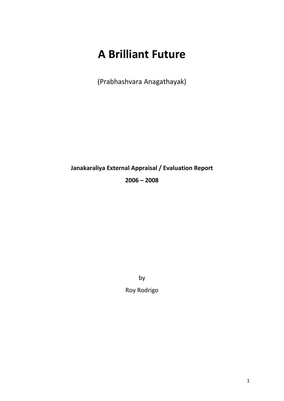# **A Brilliant Future**

(Prabhashvara Anagathayak)

**Janakaraliya External Appraisal / Evaluation Report 2006 – 2008**

> by Roy Rodrigo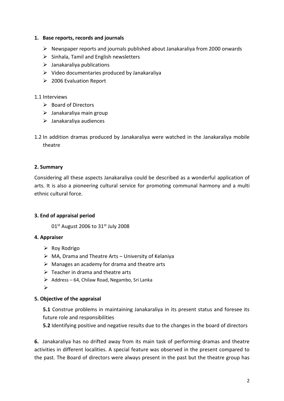### **1. Base reports, records and journals**

- $\triangleright$  Newspaper reports and journals published about Janakaraliya from 2000 onwards
- $\triangleright$  Sinhala, Tamil and English newsletters
- $\triangleright$  Janakaraliya publications
- $\triangleright$  Video documentaries produced by Janakaraliya
- $\geq$  2006 Evaluation Report

## 1.1 Interviews

- $\triangleright$  Board of Directors
- $\triangleright$  Janakaraliya main group
- $\triangleright$  Janakaraliya audiences
- 1.2 In addition dramas produced by Janakaraliya were watched in the Janakaraliya mobile theatre

## **2. Summary**

Considering all these aspects Janakaraliya could be described as a wonderful application of arts. It is also a pioneering cultural service for promoting communal harmony and a multi ethnic cultural force.

## **3. End of appraisal period**

 $01<sup>st</sup>$  August 2006 to 31<sup>st</sup> July 2008

## **4. Appraiser**

- $\triangleright$  Roy Rodrigo
- $\triangleright$  MA, Drama and Theatre Arts University of Kelaniya
- $\triangleright$  Manages an academy for drama and theatre arts
- $\triangleright$  Teacher in drama and theatre arts
- $\triangleright$  Address 64, Chilaw Road, Negambo, Sri Lanka
- $\blacktriangleright$

## **5. Objective of the appraisal**

**5.1** Construe problems in maintaining Janakaraliya in its present status and foresee its future role and responsibilities

**5.2** Identifying positive and negative results due to the changes in the board of directors

**6.** Janakaraliya has no drifted away from its main task of performing dramas and theatre activities in different localities. A special feature was observed in the present compared to the past. The Board of directors were always present in the past but the theatre group has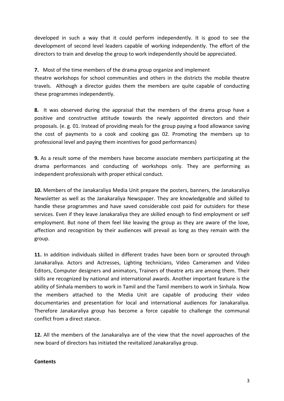developed in such a way that it could perform independently. It is good to see the development of second level leaders capable of working independently. The effort of the directors to train and develop the group to work independently should be appreciated.

**7.** Most of the time members of the drama group organize and implement

theatre workshops for school communities and others in the districts the mobile theatre travels. Although a director guides them the members are quite capable of conducting these programmes independently.

**8.** It was observed during the appraisal that the members of the drama group have a positive and constructive attitude towards the newly appointed directors and their proposals. (e. g. 01. Instead of providing meals for the group paying a food allowance saving the cost of payments to a cook and cooking gas 02. Promoting the members up to professional level and paying them incentives for good performances)

**9.** As a result some of the members have become associate members participating at the drama performances and conducting of workshops only. They are performing as independent professionals with proper ethical conduct.

**10.** Members of the Janakaraliya Media Unit prepare the posters, banners, the Janakaraliya Newsletter as well as the Janakaraliya Newspaper. They are knowledgeable and skilled to handle these programmes and have saved considerable cost paid for outsiders for these services. Even if they leave Janakaraliya they are skilled enough to find employment or self employment. But none of them feel like leaving the group as they are aware of the love, affection and recognition by their audiences will prevail as long as they remain with the group.

**11.** In addition individuals skilled in different trades have been born or sprouted through Janakaraliya. Actors and Actresses, Lighting technicians, Video Cameramen and Video Editors, Computer designers and animators, Trainers of theatre arts are among them. Their skills are recognized by national and international awards. Another important feature is the ability of Sinhala members to work in Tamil and the Tamil members to work in Sinhala. Now the members attached to the Media Unit are capable of producing their video documentaries and presentation for local and international audiences for Janakaraliya. Therefore Janakaraliya group has become a force capable to challenge the communal conflict from a direct stance.

**12.** All the members of the Janakaraliya are of the view that the novel approaches of the new board of directors has initiated the revitalized Janakaraliya group.

## **Contents**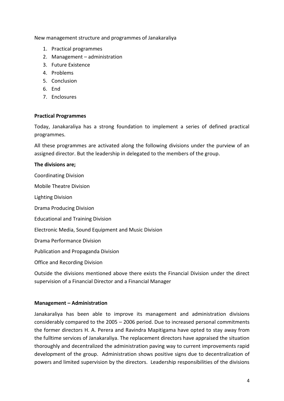New management structure and programmes of Janakaraliya

- 1. Practical programmes
- 2. Management administration
- 3. Future Existence
- 4. Problems
- 5. Conclusion
- 6. End
- 7. Enclosures

#### **Practical Programmes**

Today, Janakaraliya has a strong foundation to implement a series of defined practical programmes.

All these programmes are activated along the following divisions under the purview of an assigned director. But the leadership in delegated to the members of the group.

#### **The divisions are;**

Coordinating Division

Mobile Theatre Division

Lighting Division

Drama Producing Division

Educational and Training Division

Electronic Media, Sound Equipment and Music Division

Drama Performance Division

Publication and Propaganda Division

Office and Recording Division

Outside the divisions mentioned above there exists the Financial Division under the direct supervision of a Financial Director and a Financial Manager

#### **Management – Administration**

Janakaraliya has been able to improve its management and administration divisions considerably compared to the 2005 – 2006 period. Due to increased personal commitments the former directors H. A. Perera and Ravindra Mapitigama have opted to stay away from the fulltime services of Janakaraliya. The replacement directors have appraised the situation thoroughly and decentralized the administration paving way to current improvements rapid development of the group. Administration shows positive signs due to decentralization of powers and limited supervision by the directors. Leadership responsibilities of the divisions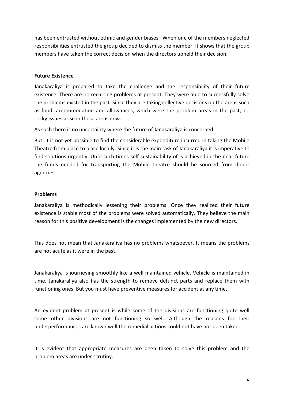has been entrusted without ethnic and gender biases. When one of the members neglected responsibilities entrusted the group decided to dismiss the member. It shows that the group members have taken the correct decision when the directors upheld their decision.

## **Future Existence**

Janakaraliya is prepared to take the challenge and the responsibility of their future existence. There are no recurring problems at present. They were able to successfully solve the problems existed in the past. Since they are taking collective decisions on the areas such as food, accommodation and allowances, which were the problem areas in the past, no tricky issues arise in these areas now.

As such there is no uncertainty where the future of Janakaraliya is concerned.

But, it is not yet possible to find the considerable expenditure incurred in taking the Mobile Theatre from place to place locally. Since it is the main task of Janakaraliya it is imperative to find solutions urgently. Until such times self sustainability of is achieved in the near future the funds needed for transporting the Mobile theatre should be sourced from donor agencies.

#### **Problems**

Janakaraliya is methodically lessening their problems. Once they realized their future existence is stable most of the problems were solved automatically. They believe the main reason for this positive development is the changes implemented by the new directors.

This does not mean that Janakaraliya has no problems whatsoever. It means the problems are not acute as it were in the past.

Janakaraliya is journeying smoothly like a well maintained vehicle. Vehicle is maintained in time. Janakaraliya also has the strength to remove defunct parts and replace them with functioning ones. But you must have preventive measures for accident at any time.

An evident problem at present is while some of the divisions are functioning quite well some other divisions are not functioning so well. Although the reasons for their underperformances are known well the remedial actions could not have not been taken.

It is evident that appropriate measures are been taken to solve this problem and the problem areas are under scrutiny.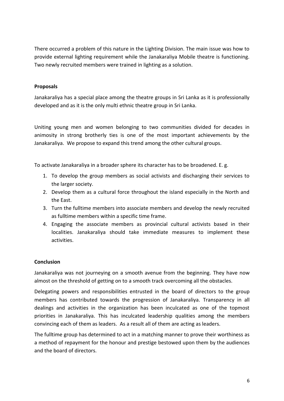There occurred a problem of this nature in the Lighting Division. The main issue was how to provide external lighting requirement while the Janakaraliya Mobile theatre is functioning. Two newly recruited members were trained in lighting as a solution.

## **Proposals**

Janakaraliya has a special place among the theatre groups in Sri Lanka as it is professionally developed and as it is the only multi ethnic theatre group in Sri Lanka.

Uniting young men and women belonging to two communities divided for decades in animosity in strong brotherly ties is one of the most important achievements by the Janakaraliya. We propose to expand this trend among the other cultural groups.

To activate Janakaraliya in a broader sphere its character has to be broadened. E. g.

- 1. To develop the group members as social activists and discharging their services to the larger society.
- 2. Develop them as a cultural force throughout the island especially in the North and the East.
- 3. Turn the fulltime members into associate members and develop the newly recruited as fulltime members within a specific time frame.
- 4. Engaging the associate members as provincial cultural activists based in their localities. Janakaraliya should take immediate measures to implement these activities.

#### **Conclusion**

Janakaraliya was not journeying on a smooth avenue from the beginning. They have now almost on the threshold of getting on to a smooth track overcoming all the obstacles.

Delegating powers and responsibilities entrusted in the board of directors to the group members has contributed towards the progression of Janakaraliya. Transparency in all dealings and activities in the organization has been inculcated as one of the topmost priorities in Janakaraliya. This has inculcated leadership qualities among the members convincing each of them as leaders. As a result all of them are acting as leaders.

The fulltime group has determined to act in a matching manner to prove their worthiness as a method of repayment for the honour and prestige bestowed upon them by the audiences and the board of directors.